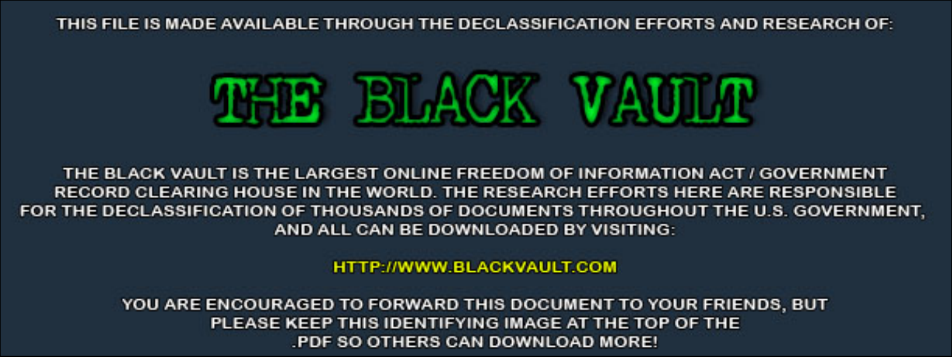THIS FILE IS MADE AVAILABLE THROUGH THE DECLASSIFICATION EFFORTS AND RESEARCH OF:



THE BLACK VAULT IS THE LARGEST ONLINE FREEDOM OF INFORMATION ACT / GOVERNMENT RECORD CLEARING HOUSE IN THE WORLD. THE RESEARCH EFFORTS HERE ARE RESPONSIBLE FOR THE DECLASSIFICATION OF THOUSANDS OF DOCUMENTS THROUGHOUT THE U.S. GOVERNMENT, AND ALL CAN BE DOWNLOADED BY VISITING:

**HTTP://WWW.BLACKVAULT.COM** 

YOU ARE ENCOURAGED TO FORWARD THIS DOCUMENT TO YOUR FRIENDS, BUT PLEASE KEEP THIS IDENTIFYING IMAGE AT THE TOP OF THE PDF SO OTHERS CAN DOWNLOAD MORE!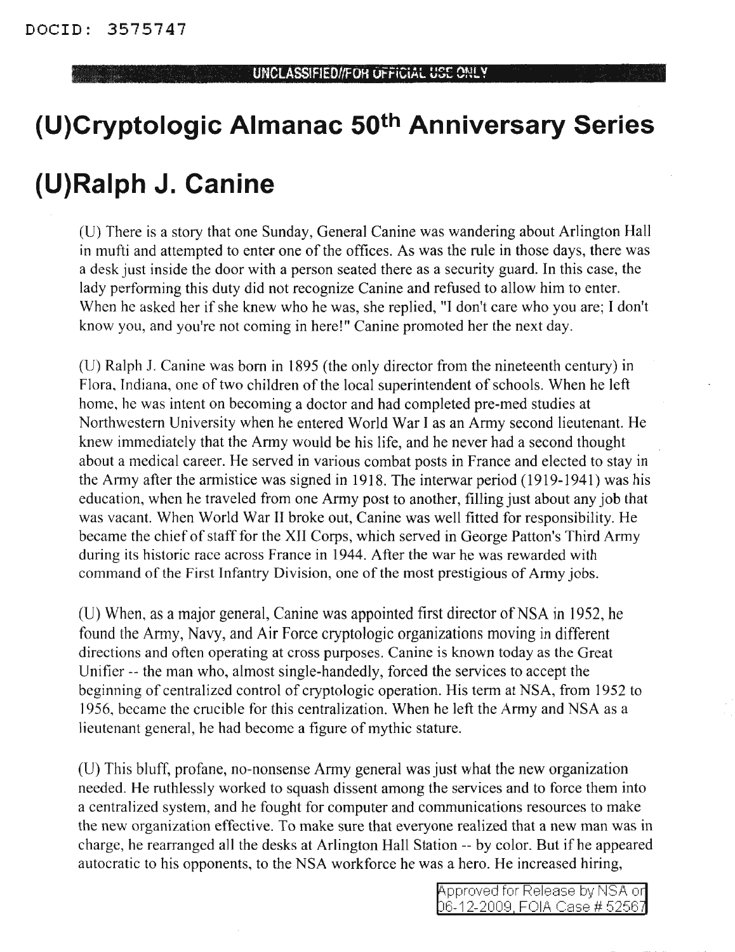## **(U)Cryptologic Almanac 50th Anniversary Series**

## **(U)Ralph J. Canine**

(U) There is a story that one Sunday, General Canine was wandering about Arlington Hall in mufti and attempted to enter one of the offices. As was the rule in those days, there was a desk just inside the door with a person seated there as a security guard. **In** this case, the lady performing this duty did not recognize Canine and refused to allow him to enter. When he asked her if she knew who he was, she replied, "I don't care who you are; I don't know you, and you're not coming in here!" Canine promoted her the next day.

(U) Ralph 1. Canine was born in 1895 (the only director from the nineteenth century) in Flora, Indiana, one of two children of the local superintendent of schools. When he left home, he was intent on becoming a doctor and had completed pre-med studies at Northwestern University when he entered World War I as an Army second lieutenant. He knew immediately that the Army would be his life, and he never had a second thought about a medical career. He served in various combat posts in France and elected to stay in the Army after the armistice was signed in 1918. The interwar period (1919-1941) was his education, when he traveled from one Army post to another, filling just about any job that was vacant. When World War II broke out, Canine was well fitted for responsibility. He became the chief of staff for the XII Corps, which served in George Patton's Third Army during its historic race across France in 1944. After the war he was rewarded with command of the First Infantry Division, one of the most prestigious of Army jobs.

(U) When, as a major general, Canine was appointed first director of NSA in 1952, he found the Army, Navy, and Air Force cryptologic organizations moving in different directions and often operating at cross purposes. Canine is known today as the Great Unifier -- the man who, almost single-handedly, forced the services to accept the beginning of centralized control of cryptologic operation. His term at NSA, from 1952 to 1956, became the crucible for this centralization. When he left the Army and NSA as a lieutenant general, he had become a figure of mythic stature.

(D) This bluff, profane, no-nonsense Army general was just what the new organization needed. He ruthlessly worked to squash dissent among the services and to force them into a centralized system, and he fought for computer and communications resources to make the new organization effective. To make sure that everyone realized that a new man was in charge, he rearranged all the desks at Arlington Hall Station -- by color. But ifhe appeared autocratic to his opponents, to the NSA workforce he was a hero. He increased hiring,